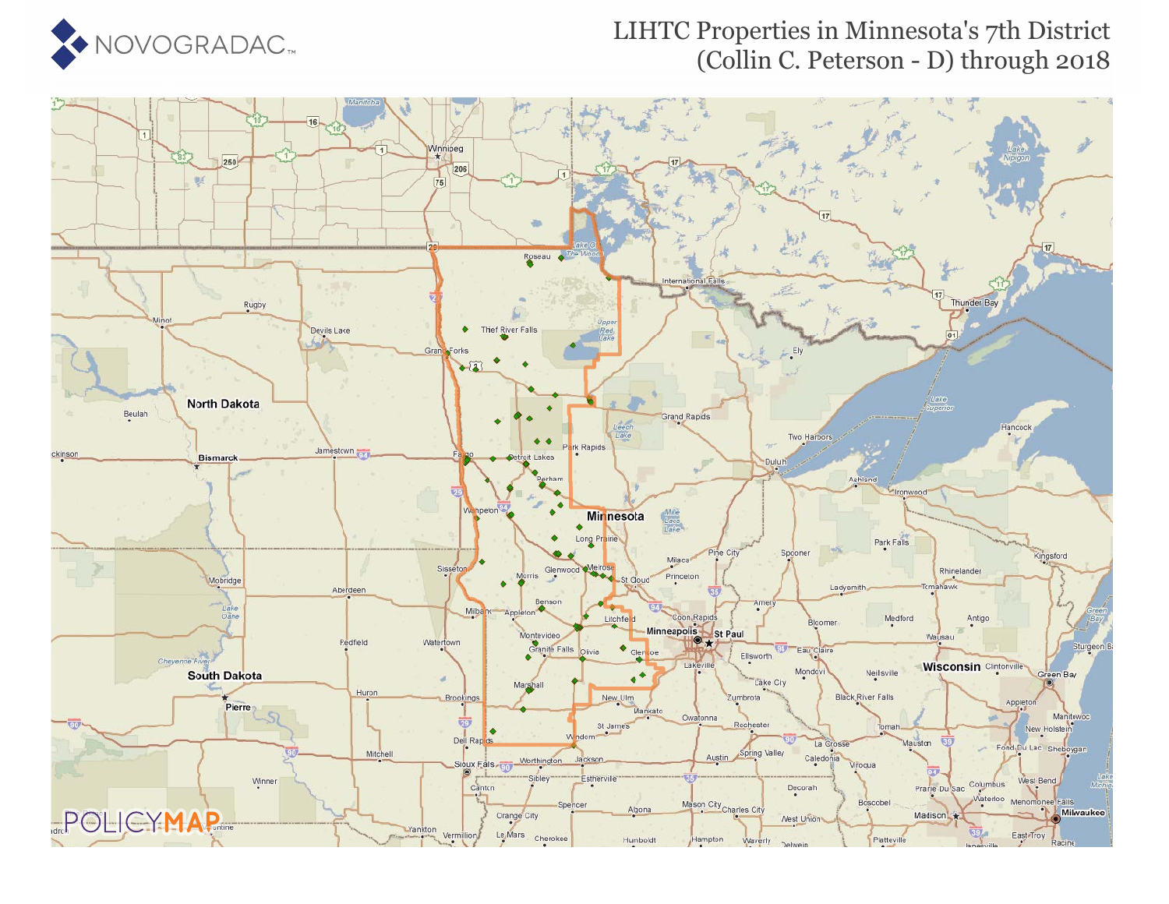

### LIHTC Properties in Minnesota's 7th District (Collin C. Peterson - D) through 2018

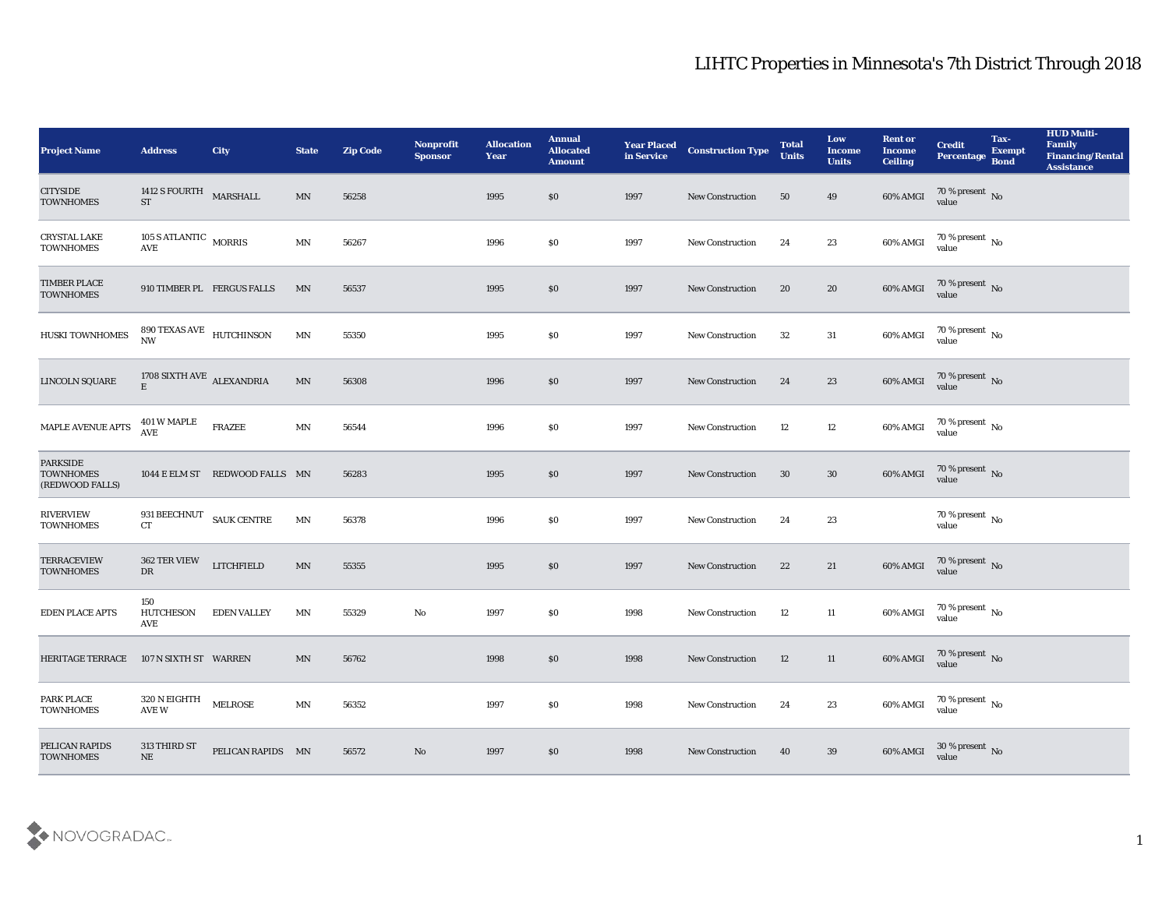| <b>Project Name</b>                                    | <b>Address</b>                        | <b>City</b>                    | <b>State</b>             | <b>Zip Code</b> | <b>Nonprofit</b><br><b>Sponsor</b> | <b>Allocation</b><br>Year | <b>Annual</b><br><b>Allocated</b><br><b>Amount</b> | <b>Year Placed<br/>in Service</b> | <b>Construction Type</b> | <b>Total</b><br><b>Units</b> | Low<br><b>Income</b><br><b>Units</b> | <b>Rent or</b><br><b>Income</b><br><b>Ceiling</b> | <b>Credit</b><br>Percentage Bond     | Tax-<br><b>Exempt</b> | <b>HUD Multi-</b><br>Family<br><b>Financing/Rental</b><br><b>Assistance</b> |
|--------------------------------------------------------|---------------------------------------|--------------------------------|--------------------------|-----------------|------------------------------------|---------------------------|----------------------------------------------------|-----------------------------------|--------------------------|------------------------------|--------------------------------------|---------------------------------------------------|--------------------------------------|-----------------------|-----------------------------------------------------------------------------|
| <b>CITYSIDE</b><br><b>TOWNHOMES</b>                    | 1412 S FOURTH MARSHALL<br><b>ST</b>   |                                | MN                       | 56258           |                                    | 1995                      | $\$0$                                              | 1997                              | New Construction         | 50                           | 49                                   | 60% AMGI                                          | $70\,\%$ present $\,$ No value       |                       |                                                                             |
| <b>CRYSTAL LAKE</b><br><b>TOWNHOMES</b>                | 105 S ATLANTIC MORRIS<br>AVE          |                                | $\mbox{MN}$              | 56267           |                                    | 1996                      | \$0                                                | 1997                              | <b>New Construction</b>  | 24                           | 23                                   | 60% AMGI                                          | $70\,\%$ present $\,$ No value       |                       |                                                                             |
| <b>TIMBER PLACE</b><br><b>TOWNHOMES</b>                |                                       | 910 TIMBER PL FERGUS FALLS     | MN                       | 56537           |                                    | 1995                      | \$0                                                | 1997                              | <b>New Construction</b>  | 20                           | 20                                   | $60\%$ AMGI                                       | $70\,\%$ present $\,$ No value       |                       |                                                                             |
| <b>HUSKI TOWNHOMES</b>                                 | 890 TEXAS AVE HUTCHINSON<br><b>NW</b> |                                | $\mathbf{M} \mathbf{N}$  | 55350           |                                    | 1995                      | \$0                                                | 1997                              | <b>New Construction</b>  | 32                           | 31                                   | 60% AMGI                                          | $70\,\%$ present $\,$ No value       |                       |                                                                             |
| <b>LINCOLN SQUARE</b>                                  | 1708 SIXTH AVE $\,$ ALEXANDRIA        |                                | MN                       | 56308           |                                    | 1996                      | \$0                                                | 1997                              | New Construction         | 24                           | 23                                   | 60% AMGI                                          | $70\,\%$ present $\,$ No value       |                       |                                                                             |
| MAPLE AVENUE APTS                                      | 401 W MAPLE<br>AVE                    | <b>FRAZEE</b>                  | $\mbox{MN}$              | 56544           |                                    | 1996                      | \$0                                                | 1997                              | <b>New Construction</b>  | 12                           | 12                                   | 60% AMGI                                          | $70\,\%$ present $\,$ No value       |                       |                                                                             |
| <b>PARKSIDE</b><br><b>TOWNHOMES</b><br>(REDWOOD FALLS) |                                       | 1044 E ELM ST REDWOOD FALLS MN |                          | 56283           |                                    | 1995                      | \$0                                                | 1997                              | New Construction         | 30                           | $30\,$                               | 60% AMGI                                          | $70\,\%$ present $\,$ No value       |                       |                                                                             |
| <b>RIVERVIEW</b><br><b>TOWNHOMES</b>                   | 931 BEECHNUT SAUK CENTRE<br><b>CT</b> |                                | $\ensuremath{\text{MN}}$ | 56378           |                                    | 1996                      | \$0                                                | 1997                              | New Construction         | 24                           | 23                                   |                                                   | 70 % present $\,$ No $\,$<br>value   |                       |                                                                             |
| <b>TERRACEVIEW</b><br><b>TOWNHOMES</b>                 | 362 TER VIEW<br>DR                    | <b>LITCHFIELD</b>              | $\ensuremath{\text{MN}}$ | 55355           |                                    | 1995                      | \$0                                                | 1997                              | <b>New Construction</b>  | 22                           | 21                                   | 60% AMGI                                          | $70\,\%$ present $\,$ No value       |                       |                                                                             |
| <b>EDEN PLACE APTS</b>                                 | 150<br>HUTCHESON<br>AVE               | <b>EDEN VALLEY</b>             | MN                       | 55329           | $\mathbf {No}$                     | 1997                      | \$0                                                | 1998                              | <b>New Construction</b>  | 12                           | 11                                   | 60% AMGI                                          | $70\,\%$ present $\,$ No value       |                       |                                                                             |
| <b>HERITAGE TERRACE</b>                                | 107 N SIXTH ST WARREN                 |                                | MN                       | 56762           |                                    | 1998                      | \$0                                                | 1998                              | <b>New Construction</b>  | 12                           | 11                                   | 60% AMGI                                          | $70\,\%$ present $\,$ No value       |                       |                                                                             |
| PARK PLACE<br><b>TOWNHOMES</b>                         | 320 N EIGHTH<br>AVE W                 | <b>MELROSE</b>                 | $\ensuremath{\text{MN}}$ | 56352           |                                    | 1997                      | \$0                                                | 1998                              | <b>New Construction</b>  | 24                           | 23                                   | 60% AMGI                                          | $70\,\%$ present $\,$ No value       |                       |                                                                             |
| PELICAN RAPIDS<br><b>TOWNHOMES</b>                     | 313 THIRD ST<br>$\rm NE$              | PELICAN RAPIDS MN              |                          | 56572           | $\rm\thinspace No$                 | 1997                      | \$0                                                | 1998                              | <b>New Construction</b>  | 40                           | 39                                   | 60% AMGI                                          | $30$ % present $\,$ No $\,$<br>value |                       |                                                                             |

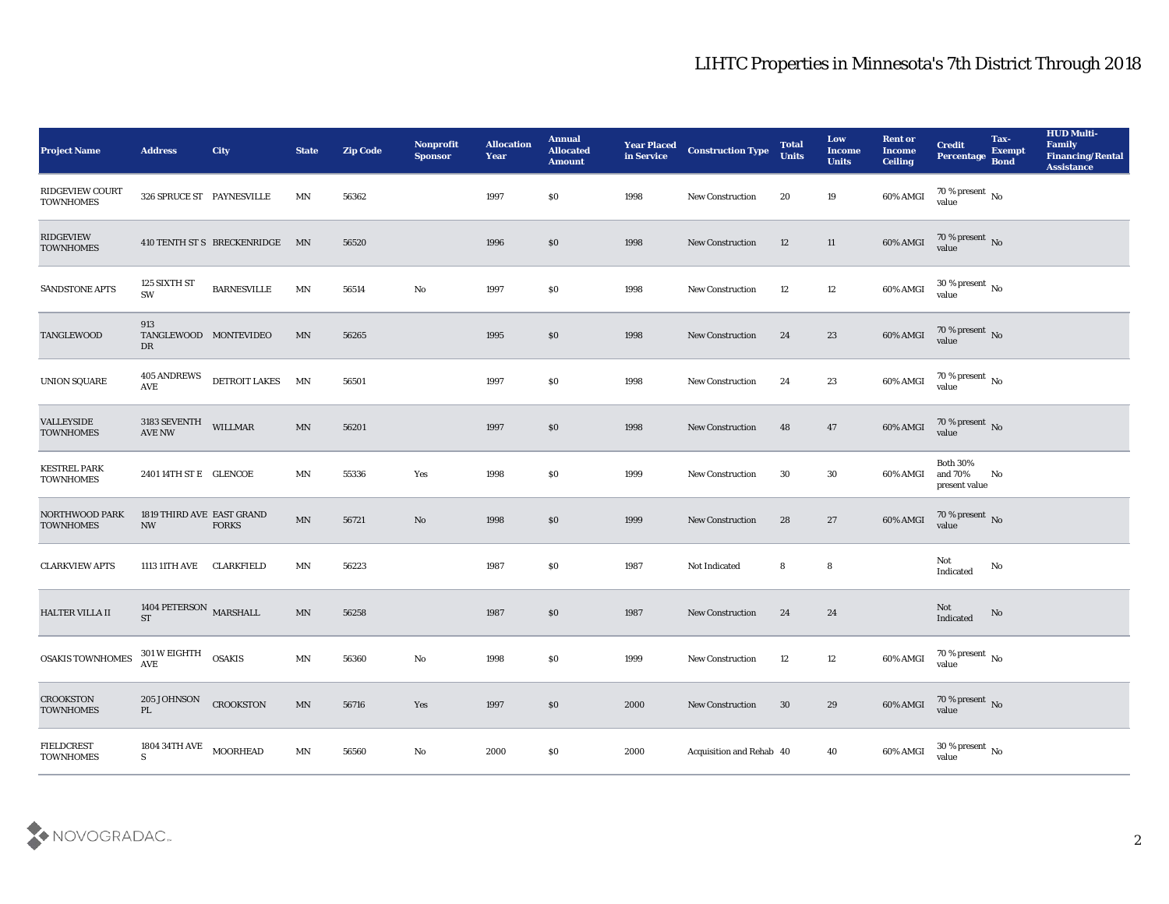| <b>Project Name</b>                        | <b>Address</b>                                | City                           | <b>State</b>            | <b>Zip Code</b> | <b>Nonprofit</b><br><b>Sponsor</b> | <b>Allocation</b><br><b>Year</b> | <b>Annual</b><br><b>Allocated</b><br><b>Amount</b> | <b>Year Placed</b><br>in Service | <b>Construction Type</b> | <b>Total</b><br><b>Units</b> | Low<br><b>Income</b><br><b>Units</b> | <b>Rent or</b><br><b>Income</b><br><b>Ceiling</b> | <b>Credit</b><br>Percentage                 | Tax-<br><b>Exempt</b><br><b>Bond</b> | <b>HUD Multi-</b><br>Family<br><b>Financing/Rental</b><br><b>Assistance</b> |
|--------------------------------------------|-----------------------------------------------|--------------------------------|-------------------------|-----------------|------------------------------------|----------------------------------|----------------------------------------------------|----------------------------------|--------------------------|------------------------------|--------------------------------------|---------------------------------------------------|---------------------------------------------|--------------------------------------|-----------------------------------------------------------------------------|
| <b>RIDGEVIEW COURT</b><br><b>TOWNHOMES</b> | 326 SPRUCE ST PAYNESVILLE                     |                                | MN                      | 56362           |                                    | 1997                             | \$0                                                | 1998                             | New Construction         | 20                           | 19                                   | 60% AMGI                                          | 70 % present No<br>value                    |                                      |                                                                             |
| RIDGEVIEW<br><b>TOWNHOMES</b>              |                                               | 410 TENTH ST S BRECKENRIDGE MN |                         | 56520           |                                    | 1996                             | $\$0$                                              | 1998                             | <b>New Construction</b>  | 12                           | 11                                   | $60\%$ AMGI                                       | $70\,\% \,present \over 0$ value            |                                      |                                                                             |
| SANDSTONE APTS                             | 125 SIXTH ST<br>SW                            | <b>BARNESVILLE</b>             | $\mathbf{M} \mathbf{N}$ | 56514           | $\rm\thinspace No$                 | 1997                             | \$0                                                | 1998                             | <b>New Construction</b>  | 12                           | 12                                   | 60% AMGI                                          | $30\,\%$ present $\,$ No value              |                                      |                                                                             |
| <b>TANGLEWOOD</b>                          | 913<br>TANGLEWOOD MONTEVIDEO<br>DR            |                                | MN                      | 56265           |                                    | 1995                             | \$0                                                | 1998                             | <b>New Construction</b>  | 24                           | 23                                   | 60% AMGI                                          | $70\,\%$ present $\,$ No value              |                                      |                                                                             |
| <b>UNION SQUARE</b>                        | <b>405 ANDREWS</b><br>AVE                     | DETROIT LAKES                  | MN                      | 56501           |                                    | 1997                             | \$0                                                | 1998                             | <b>New Construction</b>  | 24                           | 23                                   | 60% AMGI                                          | $70\,\%$ present $\,$ No value              |                                      |                                                                             |
| <b>VALLEYSIDE</b><br><b>TOWNHOMES</b>      | 3183 SEVENTH<br><b>AVE NW</b>                 | <b>WILLMAR</b>                 | MN                      | 56201           |                                    | 1997                             | \$0                                                | 1998                             | <b>New Construction</b>  | 48                           | 47                                   | 60% AMGI                                          | $70\,\%$ present $\,$ No value              |                                      |                                                                             |
| <b>KESTREL PARK</b><br><b>TOWNHOMES</b>    | 2401 14TH ST E GLENCOE                        |                                | MN                      | 55336           | Yes                                | 1998                             | \$0                                                | 1999                             | <b>New Construction</b>  | 30                           | 30                                   | 60% AMGI                                          | <b>Both 30%</b><br>and 70%<br>present value | No                                   |                                                                             |
| NORTHWOOD PARK<br><b>TOWNHOMES</b>         | 1819 THIRD AVE EAST GRAND<br><b>NW</b>        | <b>FORKS</b>                   | MN                      | 56721           | No                                 | 1998                             | \$0                                                | 1999                             | <b>New Construction</b>  | 28                           | 27                                   | 60% AMGI                                          | $70\,\%$ present $${\rm No}$$ value         |                                      |                                                                             |
| <b>CLARKVIEW APTS</b>                      | 1113 11TH AVE                                 | <b>CLARKFIELD</b>              | MN                      | 56223           |                                    | 1987                             | \$0                                                | 1987                             | Not Indicated            | 8                            | 8                                    |                                                   | Not<br>Indicated                            | $\mathbf{N}\mathbf{o}$               |                                                                             |
| <b>HALTER VILLA II</b>                     | 1404 PETERSON MARSHALL<br>$\operatorname{ST}$ |                                | MN                      | 56258           |                                    | 1987                             | \$0                                                | 1987                             | <b>New Construction</b>  | 24                           | 24                                   |                                                   | Not<br>Indicated                            | No                                   |                                                                             |
| <b>OSAKIS TOWNHOMES</b>                    | 301 W EIGHTH<br>AVE                           | <b>OSAKIS</b>                  | MN                      | 56360           | No                                 | 1998                             | $\$0$                                              | 1999                             | New Construction         | 12                           | 12                                   | 60% AMGI                                          | 70 % present $\sqrt{\ }$ No<br>value        |                                      |                                                                             |
| <b>CROOKSTON</b><br><b>TOWNHOMES</b>       | 205 JOHNSON<br>$\mathbf{PL}$                  | <b>CROOKSTON</b>               | MN                      | 56716           | Yes                                | 1997                             | $\$0$                                              | 2000                             | New Construction         | 30                           | 29                                   | 60% AMGI                                          | $70\,\% \,present \over 0$ value            |                                      |                                                                             |
| FIELDCREST<br><b>TOWNHOMES</b>             | 1804 34TH AVE<br>${\bf S}$                    | <b>MOORHEAD</b>                | MN                      | 56560           | $\rm\thinspace No$                 | 2000                             | $\$0$                                              | 2000                             | Acquisition and Rehab 40 |                              | 40                                   | 60% AMGI                                          | 30 % present $\,$ No $\,$<br>value          |                                      |                                                                             |

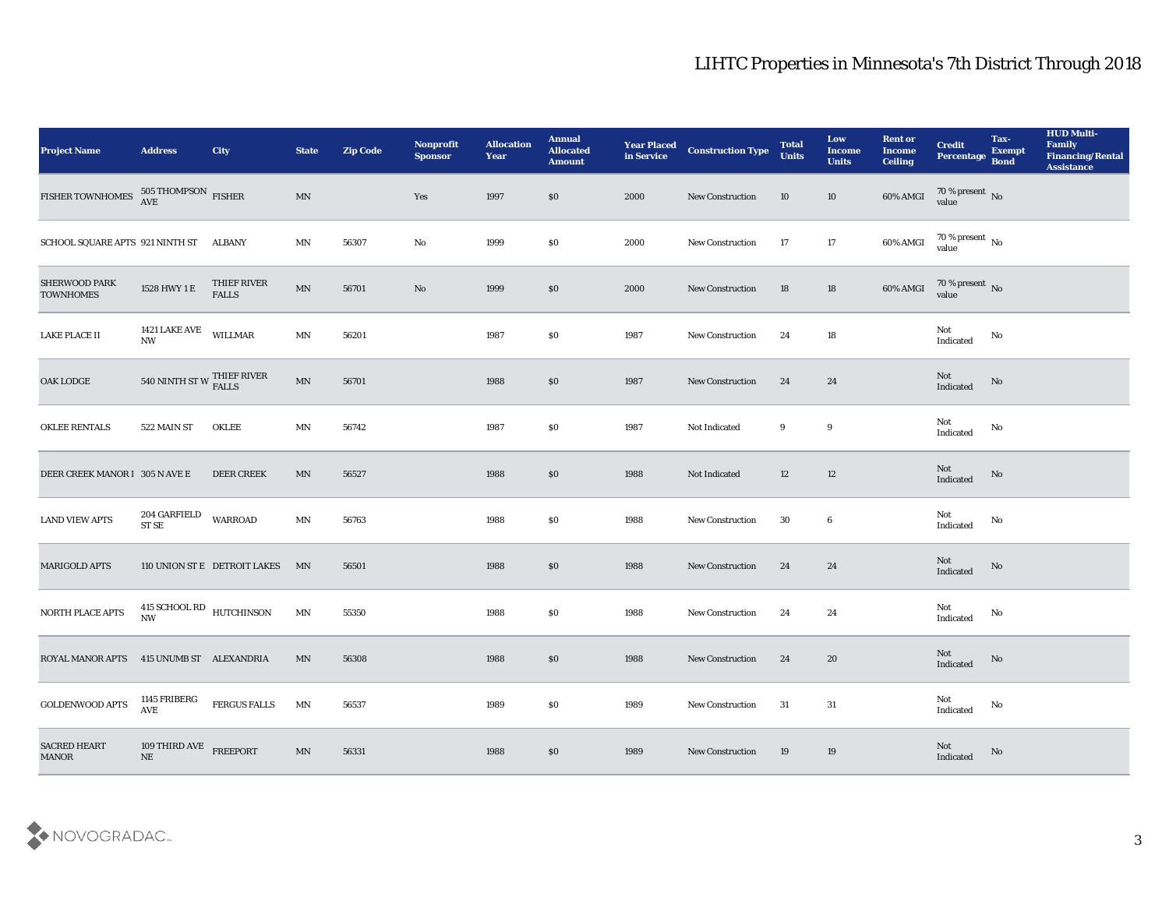| <b>Project Name</b>                       | <b>Address</b>                                 | <b>City</b>                  | <b>State</b>             | <b>Zip Code</b> | Nonprofit<br><b>Sponsor</b> | <b>Allocation</b><br><b>Year</b> | <b>Annual</b><br><b>Allocated</b><br><b>Amount</b> | <b>Year Placed</b><br>in Service | <b>Construction Type</b> | <b>Total</b><br><b>Units</b> | Low<br><b>Income</b><br><b>Units</b> | <b>Rent or</b><br><b>Income</b><br><b>Ceiling</b> | <b>Credit</b><br>Percentage           | Tax-<br><b>Exempt</b><br><b>Bond</b> | <b>HUD Multi-</b><br>Family<br><b>Financing/Rental</b><br><b>Assistance</b> |
|-------------------------------------------|------------------------------------------------|------------------------------|--------------------------|-----------------|-----------------------------|----------------------------------|----------------------------------------------------|----------------------------------|--------------------------|------------------------------|--------------------------------------|---------------------------------------------------|---------------------------------------|--------------------------------------|-----------------------------------------------------------------------------|
| FISHER TOWNHOMES $^{505}$ THOMPSON FISHER |                                                |                              | MN                       |                 | Yes                         | 1997                             | \$0                                                | 2000                             | New Construction         | 10                           | 10                                   | 60% AMGI                                          | 70 % present No<br>value              |                                      |                                                                             |
| SCHOOL SQUARE APTS 921 NINTH ST ALBANY    |                                                |                              | MN                       | 56307           | No                          | 1999                             | \$0                                                | 2000                             | <b>New Construction</b>  | 17                           | 17                                   | $60\%$ AMGI                                       | $70\,\%$ present $\,$ No value        |                                      |                                                                             |
| SHERWOOD PARK<br><b>TOWNHOMES</b>         | $1528$ HWY 1 $\rm E$                           | THIEF RIVER<br><b>FALLS</b>  | $\ensuremath{\text{MN}}$ | 56701           | $\mathbf {No}$              | 1999                             | $\$0$                                              | 2000                             | New Construction         | 18                           | 18                                   | $60\%$ AMGI                                       | $70\,\%$ present $\,$ No value        |                                      |                                                                             |
| LAKE PLACE II                             | 1421 LAKE AVE<br>NW                            | <b>WILLMAR</b>               | MN                       | 56201           |                             | 1987                             | \$0                                                | 1987                             | <b>New Construction</b>  | 24                           | 18                                   |                                                   | Not<br>Indicated                      | No                                   |                                                                             |
| OAK LODGE                                 | 540 NINTH ST W THIEF RIVER                     |                              | $\text{MN}$              | 56701           |                             | 1988                             | \$0                                                | 1987                             | <b>New Construction</b>  | 24                           | 24                                   |                                                   | Not<br>Indicated                      | No                                   |                                                                             |
| <b>OKLEE RENTALS</b>                      | 522 MAIN ST                                    | <b>OKLEE</b>                 | MN                       | 56742           |                             | 1987                             | \$0                                                | 1987                             | Not Indicated            | 9                            | 9                                    |                                                   | Not<br>Indicated                      | No                                   |                                                                             |
| DEER CREEK MANOR I 305 N AVE E            |                                                | <b>DEER CREEK</b>            | MN                       | 56527           |                             | 1988                             | $\$0$                                              | 1988                             | Not Indicated            | 12                           | 12                                   |                                                   | Not<br>Indicated                      | No                                   |                                                                             |
| <b>LAND VIEW APTS</b>                     | 204 GARFIELD<br>ST SE                          | <b>WARROAD</b>               | MN                       | 56763           |                             | 1988                             | $\$0$                                              | 1988                             | <b>New Construction</b>  | 30                           | 6                                    |                                                   | Not<br>Indicated                      | No                                   |                                                                             |
| MARIGOLD APTS                             |                                                | 110 UNION ST E DETROIT LAKES | MN                       | 56501           |                             | 1988                             | S <sub>0</sub>                                     | 1988                             | <b>New Construction</b>  | 24                           | 24                                   |                                                   | Not<br>Indicated                      | No                                   |                                                                             |
| NORTH PLACE APTS                          | 415 SCHOOL RD<br>HUTCHINSON<br><b>NW</b>       |                              | MN                       | 55350           |                             | 1988                             | \$0                                                | 1988                             | <b>New Construction</b>  | 24                           | 24                                   |                                                   | Not<br>Indicated                      | No                                   |                                                                             |
| ROYAL MANOR APTS 415 UNUMB ST ALEXANDRIA  |                                                |                              | MN                       | 56308           |                             | 1988                             | \$0                                                | 1988                             | <b>New Construction</b>  | 24                           | 20                                   |                                                   | Not<br>Indicated                      | No                                   |                                                                             |
| <b>GOLDENWOOD APTS</b>                    | 1145 FRIBERG<br>$\operatorname{AVE}$           | FERGUS FALLS                 | MN                       | 56537           |                             | 1989                             | \$0                                                | 1989                             | New Construction         | 31                           | $31\,$                               |                                                   | Not<br>$\operatorname{Indicated}$     | $\mathbf {No}$                       |                                                                             |
| <b>SACRED HEART</b><br><b>MANOR</b>       | $109$ THIRD AVE $$\rm{FREEPORT}\normalsize$ NE |                              | MN                       | 56331           |                             | 1988                             | $\$0$                                              | 1989                             | <b>New Construction</b>  | 19                           | 19                                   |                                                   | $\operatorname{\bf Not}$<br>Indicated | $\rm No$                             |                                                                             |

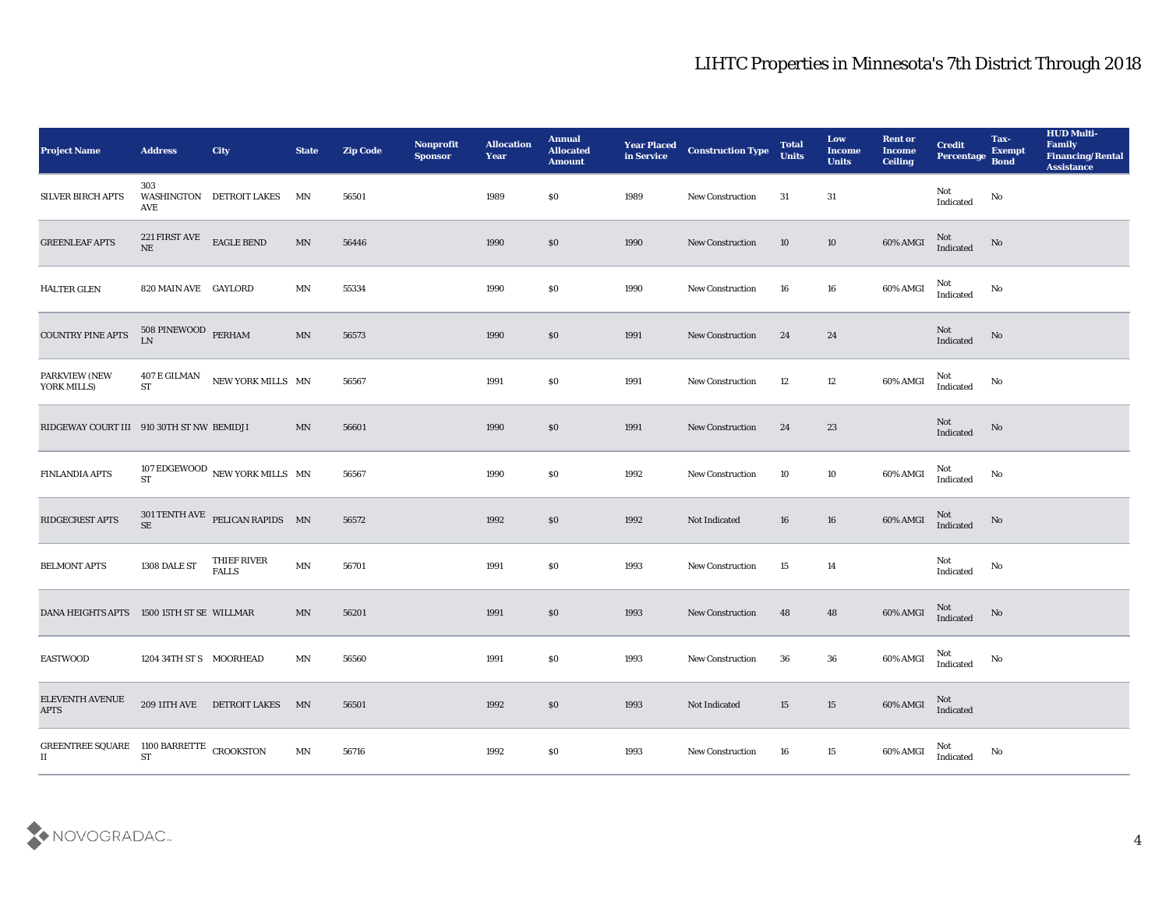| <b>Project Name</b>                                              | <b>Address</b>                     | City                                        | <b>State</b> | <b>Zip Code</b> | Nonprofit<br><b>Sponsor</b> | <b>Allocation</b><br><b>Year</b> | <b>Annual</b><br><b>Allocated</b><br><b>Amount</b> | <b>Year Placed</b><br>in Service | <b>Construction Type</b> | <b>Total</b><br><b>Units</b> | Low<br><b>Income</b><br><b>Units</b> | <b>Rent or</b><br><b>Income</b><br><b>Ceiling</b> | <b>Credit</b><br><b>Percentage</b> | Tax-<br><b>Exempt</b><br><b>Bond</b> | <b>HUD Multi-</b><br>Family<br><b>Financing/Rental</b><br><b>Assistance</b> |
|------------------------------------------------------------------|------------------------------------|---------------------------------------------|--------------|-----------------|-----------------------------|----------------------------------|----------------------------------------------------|----------------------------------|--------------------------|------------------------------|--------------------------------------|---------------------------------------------------|------------------------------------|--------------------------------------|-----------------------------------------------------------------------------|
| <b>SILVER BIRCH APTS</b>                                         | 303<br>AVE                         | <b>WASHINGTON DETROIT LAKES</b>             | MN           | 56501           |                             | 1989                             | \$0                                                | 1989                             | <b>New Construction</b>  | 31                           | 31                                   |                                                   | Not<br>Indicated                   | No                                   |                                                                             |
| <b>GREENLEAF APTS</b>                                            | 221 FIRST AVE<br>$\rm{NE}$         | <b>EAGLE BEND</b>                           | MN           | 56446           |                             | 1990                             | \$0                                                | 1990                             | <b>New Construction</b>  | 10                           | 10                                   | 60% AMGI                                          | $\rm Not$ Indicated                | No                                   |                                                                             |
| <b>HALTER GLEN</b>                                               | 820 MAIN AVE GAYLORD               |                                             | MN           | 55334           |                             | 1990                             | \$0                                                | 1990                             | <b>New Construction</b>  | 16                           | 16                                   | 60% AMGI                                          | Not<br>Indicated                   | No                                   |                                                                             |
| <b>COUNTRY PINE APTS</b>                                         | 508 PINEWOOD PERHAM<br>LN          |                                             | MN           | 56573           |                             | 1990                             | \$0                                                | 1991                             | <b>New Construction</b>  | 24                           | 24                                   |                                                   | Not<br>Indicated                   | No                                   |                                                                             |
| PARKVIEW (NEW<br>YORK MILLS)                                     | 407 E GILMAN<br>${\cal S}{\cal T}$ | NEW YORK MILLS MN                           |              | 56567           |                             | 1991                             | \$0                                                | 1991                             | <b>New Construction</b>  | 12                           | 12                                   | 60% AMGI                                          | Not<br>Indicated                   | No                                   |                                                                             |
| RIDGEWAY COURT III 910 30TH ST NW BEMIDJI                        |                                    |                                             | MN           | 56601           |                             | 1990                             | \$0                                                | 1991                             | <b>New Construction</b>  | 24                           | 23                                   |                                                   | Not<br>Indicated                   | No                                   |                                                                             |
| <b>FINLANDIA APTS</b>                                            |                                    | 107 EDGEWOOD NEW YORK MILLS $\,$ MN $\,$ ST |              | 56567           |                             | 1990                             | \$0                                                | 1992                             | <b>New Construction</b>  | 10                           | 10                                   | 60% AMGI                                          | Not<br>Indicated                   | No                                   |                                                                             |
| <b>RIDGECREST APTS</b>                                           | <b>SE</b>                          | 301 TENTH AVE PELICAN RAPIDS MN             |              | 56572           |                             | 1992                             | \$0                                                | 1992                             | Not Indicated            | 16                           | 16                                   | 60% AMGI                                          | Not<br>Indicated                   | No                                   |                                                                             |
| <b>BELMONT APTS</b>                                              | 1308 DALE ST                       | THIEF RIVER<br><b>FALLS</b>                 | MN           | 56701           |                             | 1991                             | \$0                                                | 1993                             | <b>New Construction</b>  | 15                           | 14                                   |                                                   | Not<br>Indicated                   | No                                   |                                                                             |
| <b>DANA HEIGHTS APTS</b>                                         | 1500 15TH ST SE WILLMAR            |                                             | MN           | 56201           |                             | 1991                             | \$0                                                | 1993                             | <b>New Construction</b>  | 48                           | 48                                   | 60% AMGI                                          | Not<br>Indicated                   | No                                   |                                                                             |
| <b>EASTWOOD</b>                                                  | 1204 34TH ST S MOORHEAD            |                                             | MN           | 56560           |                             | 1991                             | \$0                                                | 1993                             | New Construction         | 36                           | 36                                   | 60% AMGI                                          | Not<br>Indicated                   | No                                   |                                                                             |
| ELEVENTH AVENUE<br><b>APTS</b>                                   |                                    | 209 11TH AVE DETROIT LAKES MN               |              | 56501           |                             | 1992                             | $\$0$                                              | 1993                             | Not Indicated            | 15                           | 15                                   | 60% AMGI                                          | Not<br>Indicated                   |                                      |                                                                             |
| GREENTREE SQUARE 1100 BARRETTE CROOKSTON<br>$\scriptstyle\rm II$ | <b>ST</b>                          |                                             | MN           | 56716           |                             | 1992                             | \$0                                                | 1993                             | New Construction         | 16                           | 15                                   | 60% AMGI                                          | Not<br>Indicated                   | $\mathbf{N}\mathbf{o}$               |                                                                             |

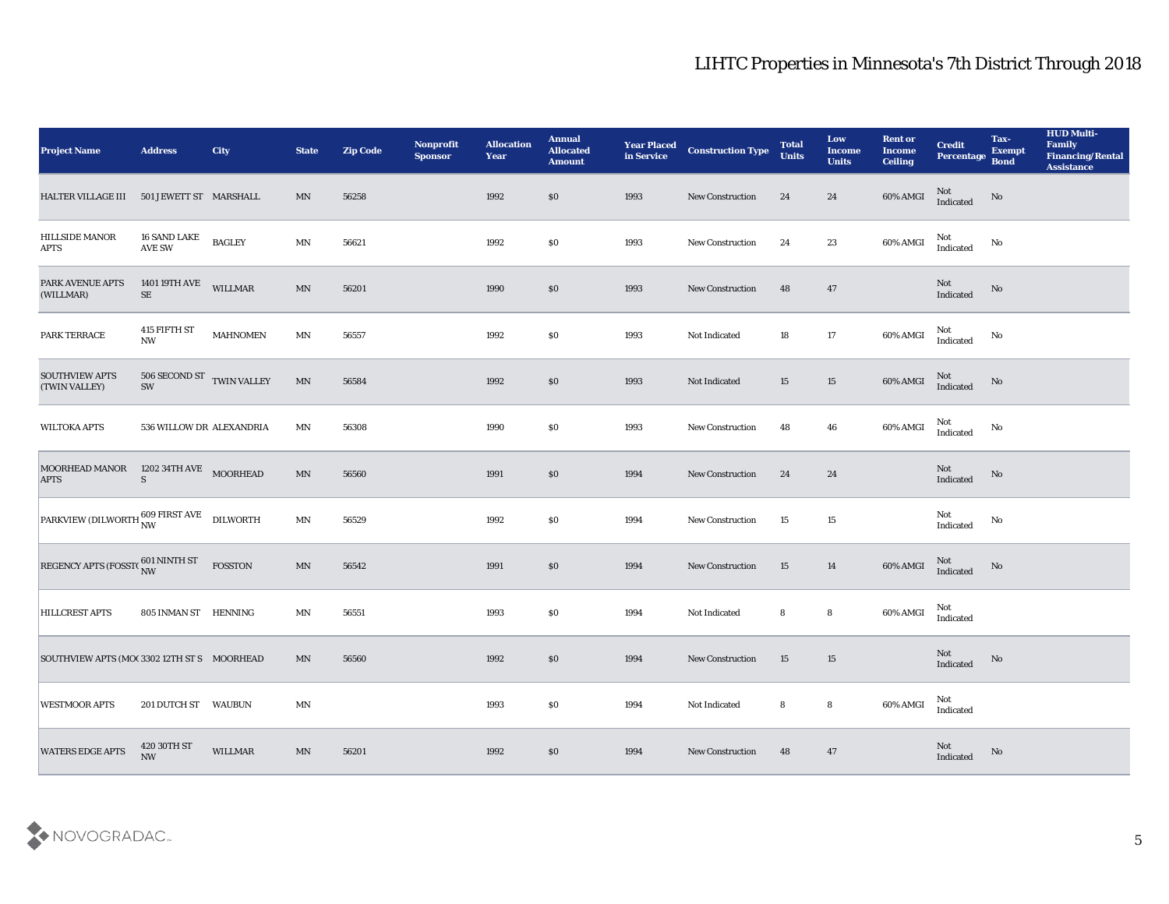| <b>Project Name</b>                                                                          | <b>Address</b>                                  | <b>City</b>     | <b>State</b>             | <b>Zip Code</b> | Nonprofit<br>Sponsor | <b>Allocation</b><br>Year | <b>Annual</b><br><b>Allocated</b><br><b>Amount</b> | <b>Year Placed<br/>in Service</b> | <b>Construction Type</b> | <b>Total</b><br><b>Units</b> | Low<br><b>Income</b><br><b>Units</b> | <b>Rent or</b><br><b>Income</b><br><b>Ceiling</b> | <b>Credit</b><br>Percentage Bond                  | Tax-<br><b>Exempt</b> | <b>HUD Multi-</b><br>Family<br><b>Financing/Rental</b><br><b>Assistance</b> |
|----------------------------------------------------------------------------------------------|-------------------------------------------------|-----------------|--------------------------|-----------------|----------------------|---------------------------|----------------------------------------------------|-----------------------------------|--------------------------|------------------------------|--------------------------------------|---------------------------------------------------|---------------------------------------------------|-----------------------|-----------------------------------------------------------------------------|
| HALTER VILLAGE III                                                                           | 501 JEWETT ST MARSHALL                          |                 | MN                       | 56258           |                      | 1992                      | $\$0$                                              | 1993                              | New Construction         | 24                           | 24                                   | $60\%$ AMGI                                       | Not<br>Indicated                                  | No                    |                                                                             |
| HILLSIDE MANOR<br><b>APTS</b>                                                                | 16 SAND LAKE<br><b>AVE SW</b>                   | <b>BAGLEY</b>   | MN                       | 56621           |                      | 1992                      | \$0                                                | 1993                              | <b>New Construction</b>  | 24                           | $\bf 23$                             | 60% AMGI                                          | Not<br>Indicated                                  | No                    |                                                                             |
| PARK AVENUE APTS<br>(WILLMAR)                                                                | 1401 19TH AVE<br>$\rm SE$                       | <b>WILLMAR</b>  | $\text{MN}$              | 56201           |                      | 1990                      | \$0                                                | 1993                              | <b>New Construction</b>  | 48                           | 47                                   |                                                   | Not<br>Indicated                                  | No                    |                                                                             |
| PARK TERRACE                                                                                 | 415 FIFTH ST<br>$\mathbf{N}\mathbf{W}$          | <b>MAHNOMEN</b> | MN                       | 56557           |                      | 1992                      | \$0                                                | 1993                              | Not Indicated            | 18                           | 17                                   | 60% AMGI                                          | Not<br>Indicated                                  | No                    |                                                                             |
| <b>SOUTHVIEW APTS</b><br>(TWIN VALLEY)                                                       | 506 SECOND ST TWIN VALLEY<br>$\text{SW}\xspace$ |                 | $\text{MN}$              | 56584           |                      | 1992                      | \$0                                                | 1993                              | Not Indicated            | 15                           | 15                                   | $60\%$ AMGI                                       | Not<br>Indicated                                  | No                    |                                                                             |
| <b>WILTOKA APTS</b>                                                                          | 536 WILLOW DR ALEXANDRIA                        |                 | MN                       | 56308           |                      | 1990                      | \$0                                                | 1993                              | New Construction         | 48                           | 46                                   | 60% AMGI                                          | Not<br>Indicated                                  | No                    |                                                                             |
| MOORHEAD MANOR 1202 34TH AVE MOORHEAD<br><b>APTS</b>                                         | <sub>S</sub>                                    |                 | MN                       | 56560           |                      | 1991                      | $\$0$                                              | 1994                              | <b>New Construction</b>  | 24                           | 24                                   |                                                   | Not<br>Indicated                                  | No                    |                                                                             |
| $\boxed{\text{PARKVIEW (DILWORTH}^{\text{609 FIRST AVE}}_{\text{NW}} \quad \text{DILWORTH}}$ |                                                 |                 | $\mathbf{M} \mathbf{N}$  | 56529           |                      | 1992                      | \$0                                                | 1994                              | New Construction         | 15                           | 15                                   |                                                   | Not<br>Indicated                                  | No                    |                                                                             |
| REGENCY APTS (FOSST( $\frac{601}{NW}$                                                        |                                                 | FOSSTON         | $\text{MN}$              | 56542           |                      | 1991                      | $\$0$                                              | 1994                              | New Construction         | 15                           | 14                                   | 60% AMGI                                          | Not<br>Indicated                                  | No                    |                                                                             |
| <b>HILLCREST APTS</b>                                                                        | 805 INMAN ST HENNING                            |                 | MN                       | 56551           |                      | 1993                      | \$0                                                | 1994                              | Not Indicated            | 8                            | $\bf{8}$                             | 60% AMGI                                          | Not<br>Indicated                                  |                       |                                                                             |
| SOUTHVIEW APTS (MOC 3302 12TH ST S MOORHEAD                                                  |                                                 |                 | MN                       | 56560           |                      | 1992                      | \$0                                                | 1994                              | New Construction         | 15                           | 15                                   |                                                   | Not<br>$\label{lem:indicated} \textbf{Indicated}$ | No                    |                                                                             |
| <b>WESTMOOR APTS</b>                                                                         | 201 DUTCH ST WAUBUN                             |                 | $\mathbf{M} \mathbf{N}$  |                 |                      | 1993                      | $\$0$                                              | 1994                              | Not Indicated            | 8                            | ${\bf 8}$                            | 60% AMGI                                          | Not<br>Indicated                                  |                       |                                                                             |
| <b>WATERS EDGE APTS</b>                                                                      | 420 30TH ST<br>NW                               | WILLMAR         | $\ensuremath{\text{MN}}$ | 56201           |                      | 1992                      | $\$0$                                              | 1994                              | New Construction         | 48                           | 47                                   |                                                   | $\rm Not$ Indicated                               | No                    |                                                                             |

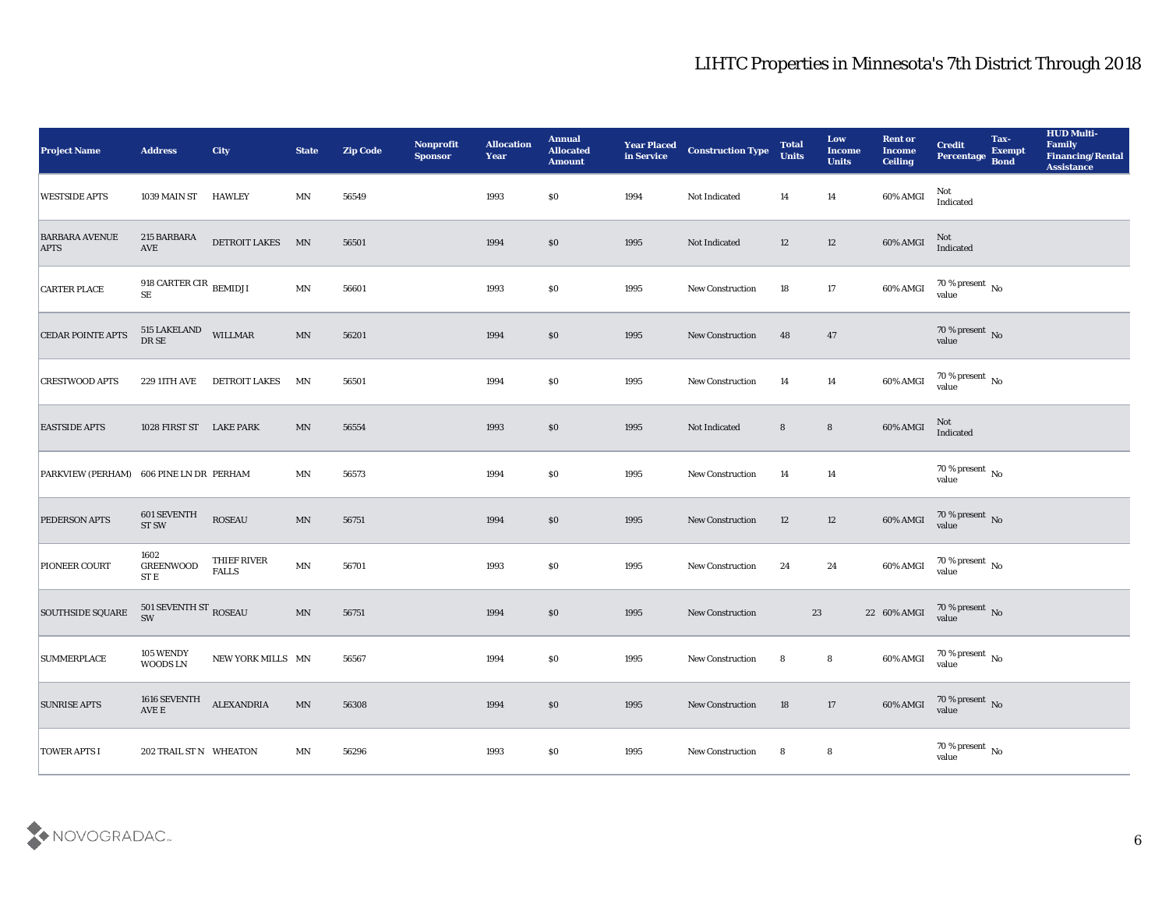| <b>Project Name</b>                     | <b>Address</b>                               | <b>City</b>                 | <b>State</b>             | <b>Zip Code</b> | Nonprofit<br><b>Sponsor</b> | <b>Allocation</b><br><b>Year</b> | <b>Annual</b><br><b>Allocated</b><br><b>Amount</b> | <b>Year Placed</b><br>in Service | <b>Construction Type</b> | <b>Total</b><br><b>Units</b> | Low<br><b>Income</b><br><b>Units</b> | <b>Rent or</b><br><b>Income</b><br><b>Ceiling</b> | <b>Credit</b><br>Percentage Bond    | Tax-<br><b>Exempt</b> | <b>HUD Multi-</b><br>Family<br><b>Financing/Rental</b><br><b>Assistance</b> |
|-----------------------------------------|----------------------------------------------|-----------------------------|--------------------------|-----------------|-----------------------------|----------------------------------|----------------------------------------------------|----------------------------------|--------------------------|------------------------------|--------------------------------------|---------------------------------------------------|-------------------------------------|-----------------------|-----------------------------------------------------------------------------|
| <b>WESTSIDE APTS</b>                    | 1039 MAIN ST                                 | <b>HAWLEY</b>               | MN                       | 56549           |                             | 1993                             | $\$0$                                              | 1994                             | Not Indicated            | 14                           | 14                                   | 60% AMGI                                          | Not<br>Indicated                    |                       |                                                                             |
| <b>BARBARA AVENUE</b><br><b>APTS</b>    | 215 BARBARA<br>$\operatorname{AVE}$          | <b>DETROIT LAKES</b>        | MN                       | 56501           |                             | 1994                             | \$0                                                | 1995                             | Not Indicated            | 12                           | 12                                   | 60% AMGI                                          | Not<br>Indicated                    |                       |                                                                             |
| <b>CARTER PLACE</b>                     | 918 CARTER CIR $_{\rm BEMIDJI}$<br>$\rm SE$  |                             | $\ensuremath{\text{MN}}$ | 56601           |                             | 1993                             | \$0                                                | 1995                             | <b>New Construction</b>  | 18                           | 17                                   | 60% AMGI                                          | $70\,\%$ present $\,$ No value      |                       |                                                                             |
| <b>CEDAR POINTE APTS</b>                | $515$ LAKELAND $$\tt WILLMAR$$ DR SE         |                             | MN                       | 56201           |                             | 1994                             | \$0                                                | 1995                             | New Construction         | 48                           | 47                                   |                                                   | $70\,\%$ present $\,$ No value      |                       |                                                                             |
| <b>CRESTWOOD APTS</b>                   | 229 11TH AVE                                 | DETROIT LAKES               | MΝ                       | 56501           |                             | 1994                             | \$0                                                | 1995                             | <b>New Construction</b>  | 14                           | 14                                   | 60% AMGI                                          | $70\,\%$ present $\,$ No value      |                       |                                                                             |
| <b>EASTSIDE APTS</b>                    | 1028 FIRST ST LAKE PARK                      |                             | MN                       | 56554           |                             | 1993                             | \$0                                                | 1995                             | Not Indicated            | 8                            | $8\phantom{1}$                       | 60% AMGI                                          | Not<br>Indicated                    |                       |                                                                             |
| PARKVIEW (PERHAM) 606 PINE LN DR PERHAM |                                              |                             | MN                       | 56573           |                             | 1994                             | $\$0$                                              | 1995                             | <b>New Construction</b>  | 14                           | 14                                   |                                                   | $70\,\%$ present $\,$ No value      |                       |                                                                             |
| <b>PEDERSON APTS</b>                    | 601 SEVENTH<br><b>ST SW</b>                  | <b>ROSEAU</b>               | $\ensuremath{\text{MN}}$ | 56751           |                             | 1994                             | \$0                                                | 1995                             | New Construction         | 12                           | 12                                   | 60% AMGI                                          | $70\,\%$ present $_{\rm No}$ value  |                       |                                                                             |
| PIONEER COURT                           | 1602<br><b>GREENWOOD</b><br>ST E             | THIEF RIVER<br><b>FALLS</b> | $\ensuremath{\text{MN}}$ | 56701           |                             | 1993                             | \$0                                                | 1995                             | <b>New Construction</b>  | 24                           | 24                                   | 60% AMGI                                          | $70\,\%$ present $\,$ No value      |                       |                                                                             |
| <b>SOUTHSIDE SQUARE</b>                 | 501 SEVENTH ST $_{\rm{ROSEAU}}$<br>SW        |                             | MN                       | 56751           |                             | 1994                             | \$0                                                | 1995                             | <b>New Construction</b>  |                              | 23                                   | 22 60% AMGI                                       | $70\,\%$ present $\,$ No $\,$ value |                       |                                                                             |
| <b>SUMMERPLACE</b>                      | 105 WENDY<br>WOODS LN                        | NEW YORK MILLS MN           |                          | 56567           |                             | 1994                             | \$0                                                | 1995                             | New Construction         | 8                            | 8                                    | 60% AMGI                                          | 70 % present No<br>value            |                       |                                                                             |
| <b>SUNRISE APTS</b>                     | $1616$ SEVENTH $$\hbox{\sc ALEX}$ ALEXANDRIA |                             | MN                       | 56308           |                             | 1994                             | \$0                                                | 1995                             | <b>New Construction</b>  | 18                           | 17                                   | 60% AMGI                                          | $70\,\%$ present $\,$ No value      |                       |                                                                             |
| <b>TOWER APTS I</b>                     | 202 TRAIL ST N WHEATON                       |                             | $\mathbf{M} \mathbf{N}$  | 56296           |                             | 1993                             | $\$0$                                              | 1995                             | New Construction         | 8                            | 8                                    |                                                   | $70\,\%$ present $\,$ No value      |                       |                                                                             |

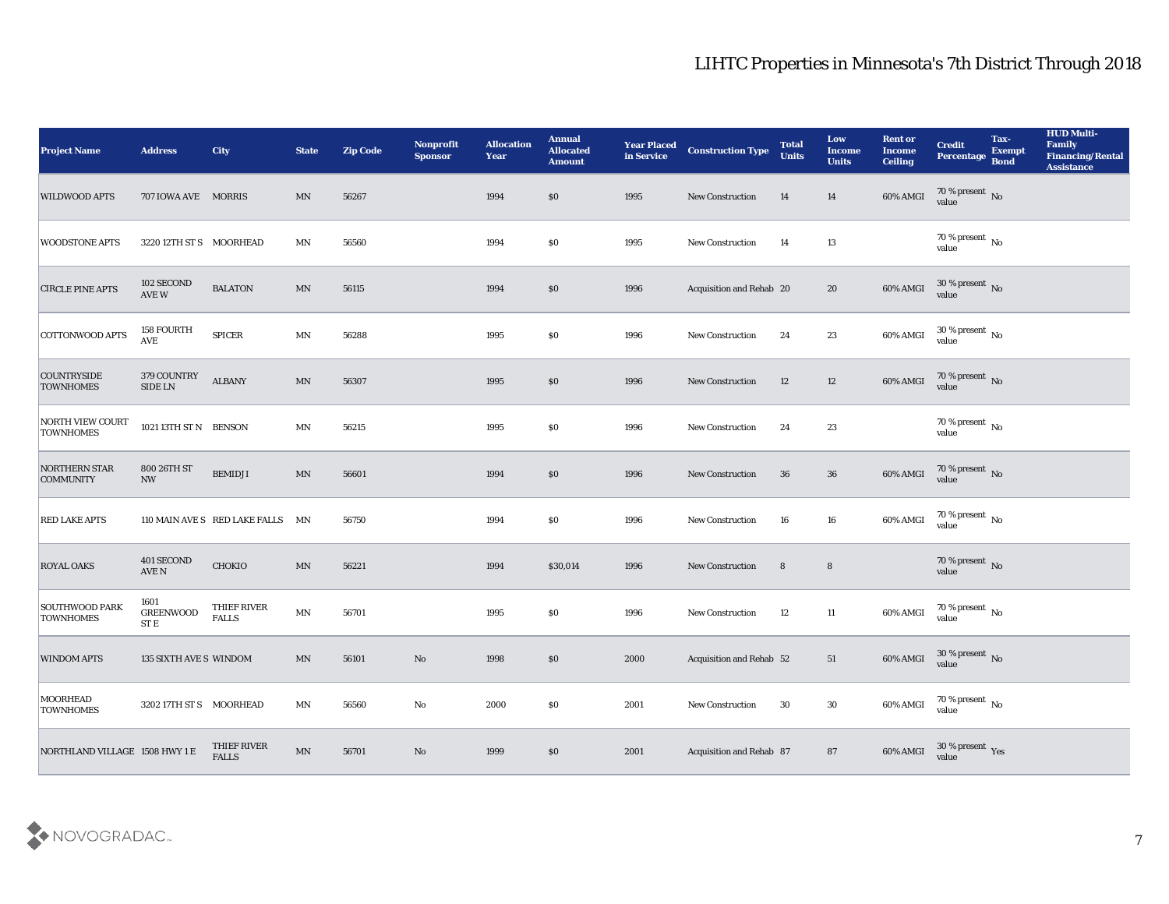| <b>Project Name</b>                       | <b>Address</b>                                    | City                             | <b>State</b>             | <b>Zip Code</b> | <b>Nonprofit</b><br><b>Sponsor</b> | <b>Allocation</b><br><b>Year</b> | <b>Annual</b><br><b>Allocated</b><br><b>Amount</b> | <b>Year Placed</b><br>in Service | <b>Construction Type</b> | <b>Total</b><br><b>Units</b> | Low<br><b>Income</b><br><b>Units</b> | <b>Rent or</b><br><b>Income</b><br><b>Ceiling</b> | <b>Credit</b><br>Percentage              | Tax-<br><b>Exempt</b><br><b>Bond</b> | <b>HUD Multi-</b><br>Family<br>Financing/Rental<br><b>Assistance</b> |
|-------------------------------------------|---------------------------------------------------|----------------------------------|--------------------------|-----------------|------------------------------------|----------------------------------|----------------------------------------------------|----------------------------------|--------------------------|------------------------------|--------------------------------------|---------------------------------------------------|------------------------------------------|--------------------------------------|----------------------------------------------------------------------|
| <b>WILDWOOD APTS</b>                      | 707 IOWA AVE MORRIS                               |                                  | MN                       | 56267           |                                    | 1994                             | $\$0$                                              | 1995                             | <b>New Construction</b>  | 14                           | 14                                   | 60% AMGI                                          | $70\,\%$ present $\,$ No value           |                                      |                                                                      |
| <b>WOODSTONE APTS</b>                     | 3220 12TH ST S MOORHEAD                           |                                  | MΝ                       | 56560           |                                    | 1994                             | $\$0$                                              | 1995                             | New Construction         | 14                           | 13                                   |                                                   | $70\,\%$ present $\,$ No value           |                                      |                                                                      |
| <b>CIRCLE PINE APTS</b>                   | 102 SECOND<br>AVE W                               | <b>BALATON</b>                   | $\ensuremath{\text{MN}}$ | 56115           |                                    | 1994                             | \$0                                                | 1996                             | Acquisition and Rehab 20 |                              | 20                                   | 60% AMGI                                          | $30\,\%$ present $\,$ No value           |                                      |                                                                      |
| <b>COTTONWOOD APTS</b>                    | <b>158 FOURTH</b><br><b>AVE</b>                   | <b>SPICER</b>                    | MN                       | 56288           |                                    | 1995                             | \$0                                                | 1996                             | <b>New Construction</b>  | 24                           | 23                                   | 60% AMGI                                          | $30\,\%$ present $\,$ No value           |                                      |                                                                      |
| <b>COUNTRYSIDE</b><br><b>TOWNHOMES</b>    | 379 COUNTRY<br>SIDE LN                            | ${\bf ALBANY}$                   | MN                       | 56307           |                                    | 1995                             | \$0\$                                              | 1996                             | <b>New Construction</b>  | 12                           | 12                                   | 60% AMGI                                          | $70\,\%$ present $\,$ No value           |                                      |                                                                      |
| NORTH VIEW COURT<br><b>TOWNHOMES</b>      | 1021 13TH ST N BENSON                             |                                  | MN                       | 56215           |                                    | 1995                             | \$0                                                | 1996                             | New Construction         | 24                           | 23                                   |                                                   | $70\,\%$ present $\,$ No value           |                                      |                                                                      |
| <b>NORTHERN STAR</b><br><b>COMMUNITY</b>  | 800 26TH ST<br><b>NW</b>                          | <b>BEMIDJI</b>                   | $\ensuremath{\text{MN}}$ | 56601           |                                    | 1994                             | $\$0$                                              | 1996                             | <b>New Construction</b>  | 36                           | 36                                   | 60% AMGI                                          | $70\,\%$ present $\,$ No value           |                                      |                                                                      |
| <b>RED LAKE APTS</b>                      |                                                   | 110 MAIN AVE S RED LAKE FALLS MN |                          | 56750           |                                    | 1994                             | \$0\$                                              | 1996                             | <b>New Construction</b>  | 16                           | 16                                   | 60% AMGI                                          | $70\%$ present $\overline{N_0}$<br>value |                                      |                                                                      |
| <b>ROYAL OAKS</b>                         | 401 SECOND<br>AVE N                               | <b>CHOKIO</b>                    | MN                       | 56221           |                                    | 1994                             | \$30,014                                           | 1996                             | <b>New Construction</b>  | 8                            | $8\phantom{1}$                       |                                                   | $70\,\%$ present $\,$ No value           |                                      |                                                                      |
| <b>SOUTHWOOD PARK</b><br><b>TOWNHOMES</b> | 1601<br><b>GREENWOOD</b><br>$\operatorname{ST}$ E | THIEF RIVER<br><b>FALLS</b>      | MN                       | 56701           |                                    | 1995                             | \$0\$                                              | 1996                             | <b>New Construction</b>  | 12                           | 11                                   | 60% AMGI                                          | $70\,\%$ present $\,$ No value           |                                      |                                                                      |
| <b>WINDOM APTS</b>                        | <b>135 SIXTH AVE S WINDOM</b>                     |                                  | MN                       | 56101           | No                                 | 1998                             | $\$0$                                              | 2000                             | Acquisition and Rehab 52 |                              | 51                                   | 60% AMGI                                          | $30\,\%$ present $\,$ No $\,$<br>value   |                                      |                                                                      |
| MOORHEAD<br><b>TOWNHOMES</b>              | 3202 17TH ST S MOORHEAD                           |                                  | MN                       | 56560           | $\mathbf {No}$                     | 2000                             | \$0\$                                              | 2001                             | New Construction         | 30                           | 30                                   | 60% AMGI                                          | $70\,\%$ present $\,$ No value           |                                      |                                                                      |
| NORTHLAND VILLAGE 1508 HWY 1 E            |                                                   | THIEF RIVER<br><b>FALLS</b>      | $\ensuremath{\text{MN}}$ | 56701           | $\mathbf {No}$                     | 1999                             | $\$0$                                              | 2001                             | Acquisition and Rehab 87 |                              | 87                                   | 60% AMGI                                          | $30$ % present $\,$ $\rm Yes$<br>value   |                                      |                                                                      |

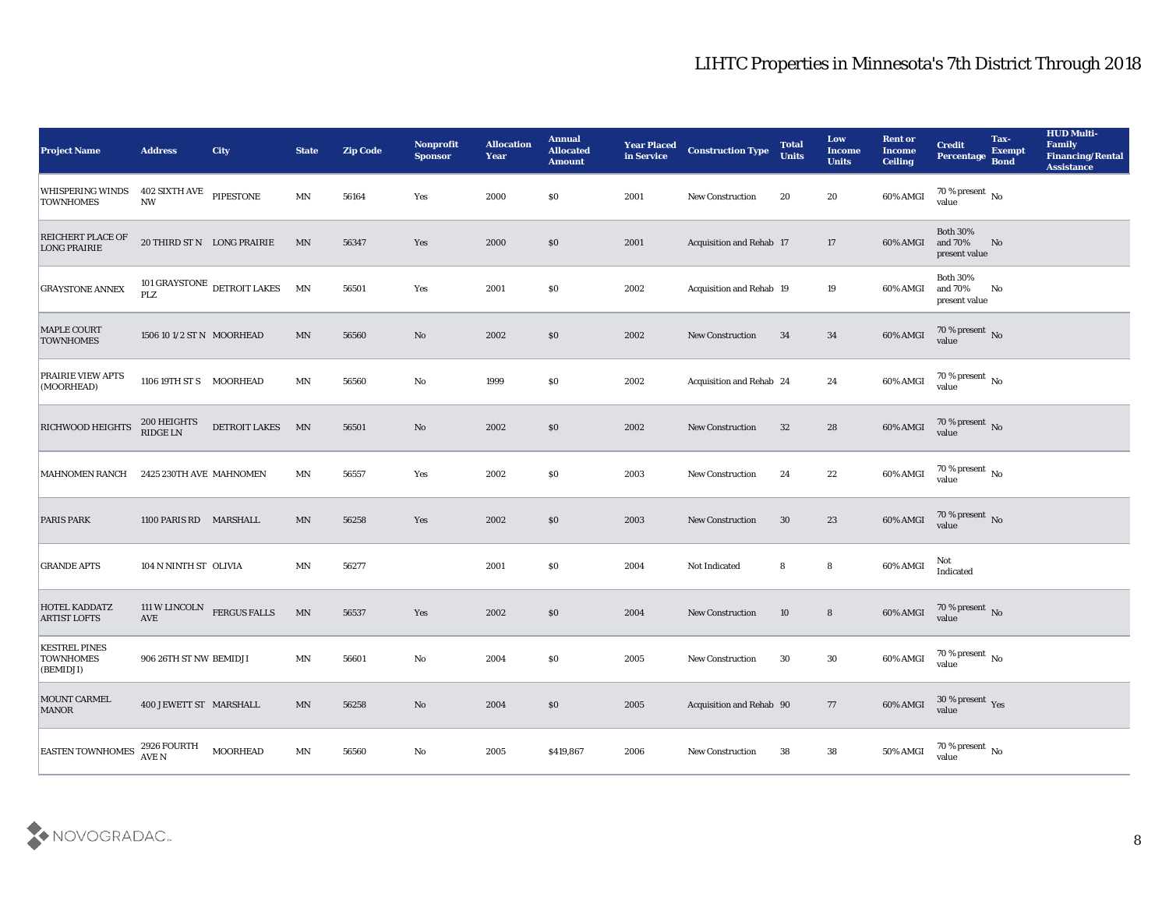| <b>Project Name</b>                                   | <b>Address</b>                                    | <b>City</b>                 | <b>State</b>               | <b>Zip Code</b> | Nonprofit<br><b>Sponsor</b> | <b>Allocation</b><br><b>Year</b> | <b>Annual</b><br><b>Allocated</b><br><b>Amount</b> | <b>Year Placed</b><br>in Service | <b>Construction Type</b> | <b>Total</b><br><b>Units</b> | Low<br><b>Income</b><br><b>Units</b> | <b>Rent or</b><br><b>Income</b><br><b>Ceiling</b> | <b>Credit</b><br>Percentage                 | Tax-<br><b>Exempt</b><br><b>Bond</b> | <b>HUD Multi-</b><br>Family<br><b>Financing/Rental</b><br><b>Assistance</b> |
|-------------------------------------------------------|---------------------------------------------------|-----------------------------|----------------------------|-----------------|-----------------------------|----------------------------------|----------------------------------------------------|----------------------------------|--------------------------|------------------------------|--------------------------------------|---------------------------------------------------|---------------------------------------------|--------------------------------------|-----------------------------------------------------------------------------|
| <b>WHISPERING WINDS</b><br><b>TOWNHOMES</b>           | 402 SIXTH AVE PIPESTONE<br>$\mathbf{N}\mathbf{W}$ |                             | MN                         | 56164           | Yes                         | 2000                             | \$0                                                | 2001                             | New Construction         | 20                           | 20                                   | 60% AMGI                                          | $70\,\%$ present $\,$ No $\,$<br>value      |                                      |                                                                             |
| <b>REICHERT PLACE OF</b><br><b>LONG PRAIRIE</b>       |                                                   | 20 THIRD ST N LONG PRAIRIE  | MN                         | 56347           | Yes                         | 2000                             | \$0                                                | 2001                             | Acquisition and Rehab 17 |                              | 17                                   | 60% AMGI                                          | <b>Both 30%</b><br>and 70%<br>present value | No                                   |                                                                             |
| <b>GRAYSTONE ANNEX</b>                                | <b>PLZ</b>                                        | 101 GRAYSTONE DETROIT LAKES | MN                         | 56501           | Yes                         | 2001                             | \$0                                                | 2002                             | Acquisition and Rehab 19 |                              | 19                                   | 60% AMGI                                          | <b>Both 30%</b><br>and 70%<br>present value | No                                   |                                                                             |
| <b>MAPLE COURT</b><br><b>TOWNHOMES</b>                | 1506 10 1/2 ST N MOORHEAD                         |                             | MN                         | 56560           | No                          | 2002                             | \$0                                                | 2002                             | <b>New Construction</b>  | 34                           | 34                                   | 60% AMGI                                          | $70\,\%$ present $\,$ No value              |                                      |                                                                             |
| PRAIRIE VIEW APTS<br>(MOORHEAD)                       | 1106 19TH ST S MOORHEAD                           |                             | MN                         | 56560           | No                          | 1999                             | \$0                                                | 2002                             | Acquisition and Rehab 24 |                              | 24                                   | 60% AMGI                                          | 70 % present No<br>value                    |                                      |                                                                             |
| RICHWOOD HEIGHTS                                      | 200 HEIGHTS<br>$\mathop{\rm RIDE}\nolimits$ LN    | <b>DETROIT LAKES</b>        | MN                         | 56501           | No                          | 2002                             | \$0                                                | 2002                             | <b>New Construction</b>  | 32                           | 28                                   | 60% AMGI                                          | $70\,\%$ present $\,$ No value              |                                      |                                                                             |
| MAHNOMEN RANCH                                        | 2425 230TH AVE MAHNOMEN                           |                             | MN                         | 56557           | Yes                         | 2002                             | $\$0$                                              | 2003                             | New Construction         | 24                           | 22                                   | 60% AMGI                                          | $70\,\% \,present \over value$              |                                      |                                                                             |
| <b>PARIS PARK</b>                                     | 1100 PARIS RD MARSHALL                            |                             | MN                         | 56258           | Yes                         | 2002                             | \$0                                                | 2003                             | <b>New Construction</b>  | 30                           | 23                                   | 60% AMGI                                          | $70\%$ present No<br>value                  |                                      |                                                                             |
| <b>GRANDE APTS</b>                                    | 104 N NINTH ST OLIVIA                             |                             | MN                         | 56277           |                             | 2001                             | \$0                                                | 2004                             | Not Indicated            | 8                            | 8                                    | 60% AMGI                                          | Not<br>Indicated                            |                                      |                                                                             |
| <b>HOTEL KADDATZ</b><br><b>ARTIST LOFTS</b>           | 111 W LINCOLN<br>AVE                              | <b>FERGUS FALLS</b>         | $\ensuremath{\text{MN}}$   | 56537           | Yes                         | 2002                             | \$0                                                | 2004                             | <b>New Construction</b>  | 10                           | $8\phantom{1}$                       | 60% AMGI                                          | $70\,\%$ present $\,$ No value              |                                      |                                                                             |
| <b>KESTREL PINES</b><br><b>TOWNHOMES</b><br>(BEMIDJI) | 906 26TH ST NW BEMIDJI                            |                             | MN                         | 56601           | No                          | 2004                             | \$0                                                | 2005                             | <b>New Construction</b>  | 30                           | 30                                   | 60% AMGI                                          | 70 % present $\,$ No $\,$<br>value          |                                      |                                                                             |
| MOUNT CARMEL<br><b>MANOR</b>                          | 400 JEWETT ST MARSHALL                            |                             | $\ensuremath{\text{MN}}$   | 56258           | $\rm\thinspace No$          | 2004                             | $\$0$                                              | 2005                             | Acquisition and Rehab 90 |                              | 77                                   | 60% AMGI                                          | $30\,\%$ present $\,$ Yes value             |                                      |                                                                             |
| <b>EASTEN TOWNHOMES</b>                               | 2926 FOURTH<br>AVE N                              | <b>MOORHEAD</b>             | $\mathop{\rm MN}\nolimits$ | 56560           | $\rm\thinspace No$          | 2005                             | \$419,867                                          | 2006                             | New Construction         | 38                           | 38                                   | 50% AMGI                                          | 70 % present $\,$ No $\,$<br>value          |                                      |                                                                             |

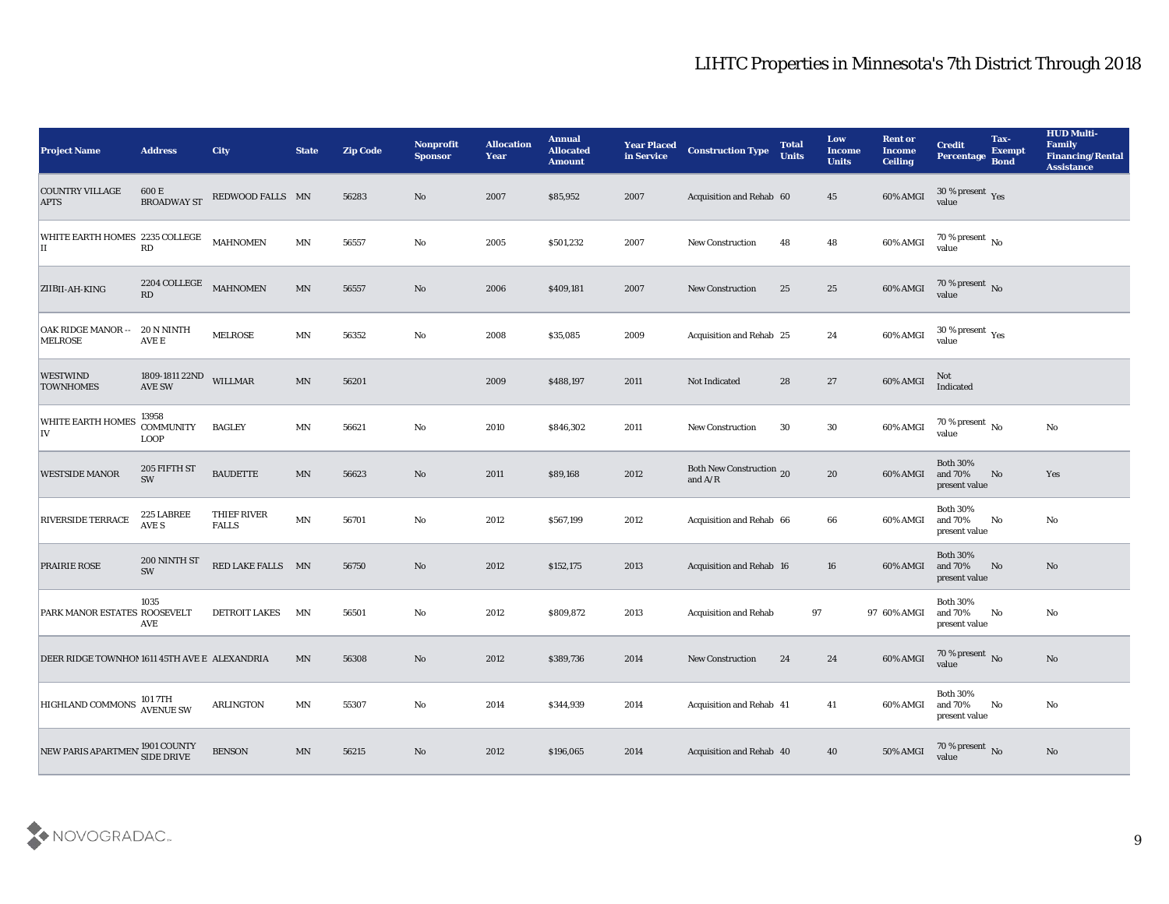| <b>Project Name</b>                           | <b>Address</b>                           | <b>City</b>                 | <b>State</b>            | <b>Zip Code</b> | <b>Nonprofit</b><br><b>Sponsor</b> | <b>Allocation</b><br><b>Year</b> | <b>Annual</b><br><b>Allocated</b><br><b>Amount</b> | <b>Year Placed</b><br>in Service | <b>Construction Type</b>              | <b>Total</b><br><b>Units</b> | Low<br><b>Income</b><br><b>Units</b> | <b>Rent or</b><br><b>Income</b><br><b>Ceiling</b> | <b>Credit</b><br>Percentage                 | Tax-<br><b>Exempt</b><br><b>Bond</b> | <b>HUD Multi-</b><br>Family<br><b>Financing/Rental</b><br><b>Assistance</b> |
|-----------------------------------------------|------------------------------------------|-----------------------------|-------------------------|-----------------|------------------------------------|----------------------------------|----------------------------------------------------|----------------------------------|---------------------------------------|------------------------------|--------------------------------------|---------------------------------------------------|---------------------------------------------|--------------------------------------|-----------------------------------------------------------------------------|
| <b>COUNTRY VILLAGE</b><br><b>APTS</b>         | 600 E<br><b>BROADWAY ST</b>              | REDWOOD FALLS MN            |                         | 56283           | No                                 | 2007                             | \$85,952                                           | 2007                             | Acquisition and Rehab 60              |                              | 45                                   | 60% AMGI                                          | $30\,\%$ present $\,$ Yes value             |                                      |                                                                             |
| WHITE EARTH HOMES 2235 COLLEGE<br>IІ          | RD                                       | <b>MAHNOMEN</b>             | MN                      | 56557           | No                                 | 2005                             | \$501,232                                          | 2007                             | <b>New Construction</b>               | 48                           | 48                                   | 60% AMGI                                          | $70\,\% \,present \over 0$ No               |                                      |                                                                             |
| ZIIBII-AH-KING                                | 2204 COLLEGE<br>RD                       | <b>MAHNOMEN</b>             | $\mathbf{M} \mathbf{N}$ | 56557           | No                                 | 2006                             | \$409,181                                          | 2007                             | <b>New Construction</b>               | 25                           | 25                                   | 60% AMGI                                          | $70\,\%$ present $\,$ No value              |                                      |                                                                             |
| <b>OAK RIDGE MANOR --</b><br><b>MELROSE</b>   | 20 N NINTH<br>$\operatorname{AVE}$ E     | <b>MELROSE</b>              | $\textsf{MN}{}$         | 56352           | $\mathbf{N}\mathbf{o}$             | 2008                             | \$35,085                                           | 2009                             | Acquisition and Rehab 25              |                              | 24                                   | 60% AMGI                                          | $30\,\%$ present $\,$ Yes value             |                                      |                                                                             |
| <b>WESTWIND</b><br><b>TOWNHOMES</b>           | 1809-1811 22ND<br>AVE SW                 | WILLMAR                     | MN                      | 56201           |                                    | 2009                             | \$488,197                                          | 2011                             | Not Indicated                         | 28                           | 27                                   | 60% AMGI                                          | Not<br>Indicated                            |                                      |                                                                             |
| <b>WHITE EARTH HOMES</b><br> IV               | 13958<br><b>COMMUNITY</b><br><b>LOOP</b> | <b>BAGLEY</b>               | $\mathbf{M} \mathbf{N}$ | 56621           | $\mathbf{N}\mathbf{o}$             | 2010                             | \$846,302                                          | 2011                             | <b>New Construction</b>               | 30                           | 30                                   | 60% AMGI                                          | $70\,\%$ present $\,$ No value              |                                      | $\mathbf{No}$                                                               |
| <b>WESTSIDE MANOR</b>                         | 205 FIFTH ST<br>SW                       | <b>BAUDETTE</b>             | MN                      | 56623           | No                                 | 2011                             | \$89,168                                           | 2012                             | Both New Construction 20<br>and $A/R$ |                              | 20                                   | 60% AMGI                                          | <b>Both 30%</b><br>and 70%<br>present value | No                                   | Yes                                                                         |
| <b>RIVERSIDE TERRACE</b>                      | 225 LABREE<br>AVE S                      | THIEF RIVER<br><b>FALLS</b> | $\mathbf{M} \mathbf{N}$ | 56701           | No                                 | 2012                             | \$567,199                                          | 2012                             | Acquisition and Rehab 66              |                              | 66                                   | 60% AMGI                                          | <b>Both 30%</b><br>and 70%<br>present value | No                                   | No                                                                          |
| <b>PRAIRIE ROSE</b>                           | 200 NINTH ST<br>SW                       | RED LAKE FALLS MN           |                         | 56750           | No                                 | 2012                             | \$152,175                                          | 2013                             | <b>Acquisition and Rehab 16</b>       |                              | 16                                   | 60% AMGI                                          | <b>Both 30%</b><br>and 70%<br>present value | No                                   | No                                                                          |
| PARK MANOR ESTATES ROOSEVELT                  | 1035<br>AVE                              | <b>DETROIT LAKES</b>        | MN                      | 56501           | No                                 | 2012                             | \$809,872                                          | 2013                             | Acquisition and Rehab                 | 97                           |                                      | 97 60% AMGI                                       | <b>Both 30%</b><br>and 70%<br>present value | No                                   | No                                                                          |
| DEER RIDGE TOWNHOM 1611 45TH AVE E ALEXANDRIA |                                          |                             | MN                      | 56308           | No                                 | 2012                             | \$389,736                                          | 2014                             | <b>New Construction</b>               | 24                           | 24                                   | 60% AMGI                                          | 70 % present No<br>value                    |                                      | No                                                                          |
| <b>HIGHLAND COMMONS</b>                       | 101 7TH<br>AVENUE SW                     | ARLINGTON                   | $\textsf{MN}{}$         | 55307           | $\rm\thinspace No$                 | 2014                             | \$344,939                                          | 2014                             | Acquisition and Rehab 41              |                              | 41                                   | 60% AMGI                                          | <b>Both 30%</b><br>and 70%<br>present value | No                                   | No                                                                          |
| NEW PARIS APARTMEN 1901 COUNTY                |                                          | <b>BENSON</b>               | $\mathbf{M} \mathbf{N}$ | 56215           | $\rm\thinspace No$                 | 2012                             | \$196,065                                          | 2014                             | Acquisition and Rehab 40              |                              | 40                                   | 50% AMGI                                          | $70\,\%$ present $\,$ No value              |                                      | $\mathbf{N}\mathbf{o}$                                                      |

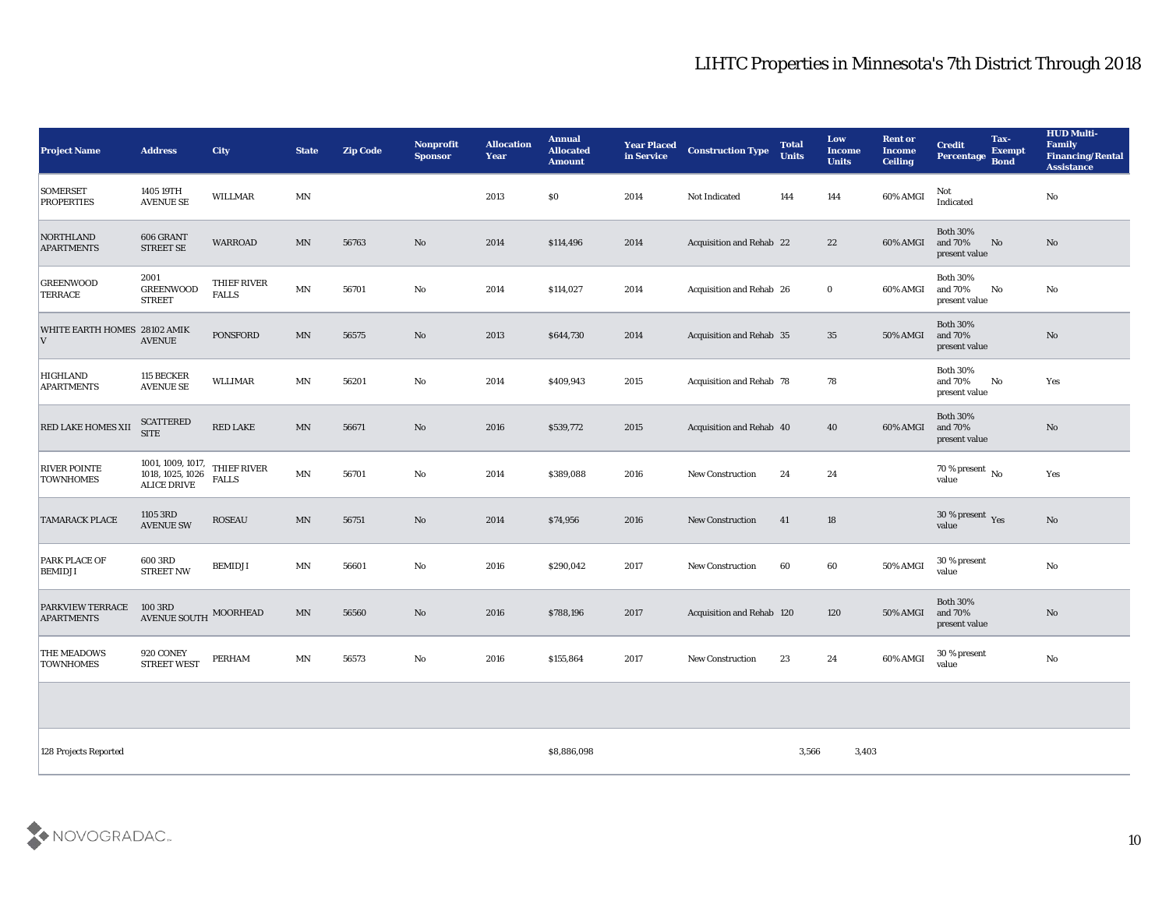| <b>Project Name</b>                     | <b>Address</b>                                              | City                        | <b>State</b>            | <b>Zip Code</b> | <b>Nonprofit</b><br><b>Sponsor</b> | <b>Allocation</b><br><b>Year</b> | <b>Annual</b><br><b>Allocated</b><br><b>Amount</b> | <b>Year Placed</b><br>in Service | <b>Construction Type</b>        | <b>Total</b><br><b>Units</b> | Low<br><b>Income</b><br><b>Units</b> | <b>Rent or</b><br><b>Income</b><br><b>Ceiling</b> | <b>Credit</b><br>Percentage Bond                  | Tax-<br><b>Exempt</b> | <b>HUD Multi-</b><br>Family<br><b>Financing/Rental</b><br><b>Assistance</b> |
|-----------------------------------------|-------------------------------------------------------------|-----------------------------|-------------------------|-----------------|------------------------------------|----------------------------------|----------------------------------------------------|----------------------------------|---------------------------------|------------------------------|--------------------------------------|---------------------------------------------------|---------------------------------------------------|-----------------------|-----------------------------------------------------------------------------|
| <b>SOMERSET</b><br><b>PROPERTIES</b>    | 1405 19TH<br><b>AVENUE SE</b>                               | <b>WILLMAR</b>              | MN                      |                 |                                    | 2013                             | \$0                                                | 2014                             | Not Indicated                   | 144                          | 144                                  | 60% AMGI                                          | Not<br>Indicated                                  |                       | No                                                                          |
| <b>NORTHLAND</b><br><b>APARTMENTS</b>   | 606 GRANT<br><b>STREET SE</b>                               | <b>WARROAD</b>              | MN                      | 56763           | No                                 | 2014                             | \$114,496                                          | 2014                             | <b>Acquisition and Rehab 22</b> |                              | 22                                   | 60% AMGI                                          | <b>Both 30%</b><br>and 70%<br>No<br>present value |                       | No                                                                          |
| <b>GREENWOOD</b><br><b>TERRACE</b>      | 2001<br><b>GREENWOOD</b><br><b>STREET</b>                   | THIEF RIVER<br><b>FALLS</b> | $\mathbf{M} \mathbf{N}$ | 56701           | No                                 | 2014                             | \$114,027                                          | 2014                             | Acquisition and Rehab 26        |                              | $\bf{0}$                             | 60% AMGI                                          | <b>Both 30%</b><br>and 70%<br>No<br>present value |                       | No                                                                          |
| WHITE EARTH HOMES 28102 AMIK<br>V       | <b>AVENUE</b>                                               | <b>PONSFORD</b>             | MN                      | 56575           | No                                 | 2013                             | \$644,730                                          | 2014                             | <b>Acquisition and Rehab 35</b> |                              | 35                                   | <b>50% AMGI</b>                                   | <b>Both 30%</b><br>and 70%<br>present value       |                       | $\mathbf{N}\mathbf{o}$                                                      |
| <b>HIGHLAND</b><br><b>APARTMENTS</b>    | 115 BECKER<br><b>AVENUE SE</b>                              | <b>WLLIMAR</b>              | MN                      | 56201           | No                                 | 2014                             | \$409,943                                          | 2015                             | <b>Acquisition and Rehab 78</b> |                              | 78                                   |                                                   | <b>Both 30%</b><br>and 70%<br>No<br>present value |                       | Yes                                                                         |
| <b>RED LAKE HOMES XII</b>               | <b>SCATTERED</b><br><b>SITE</b>                             | <b>RED LAKE</b>             | MN                      | 56671           | No                                 | 2016                             | \$539,772                                          | 2015                             | Acquisition and Rehab 40        |                              | 40                                   | 60% AMGI                                          | <b>Both 30%</b><br>and 70%<br>present value       |                       | No                                                                          |
| <b>RIVER POINTE</b><br><b>TOWNHOMES</b> | 1001, 1009, 1017,<br>1018, 1025, 1026<br><b>ALICE DRIVE</b> | THIEF RIVER<br><b>FALLS</b> | MN                      | 56701           | No                                 | 2014                             | \$389,088                                          | 2016                             | <b>New Construction</b>         | 24                           | 24                                   |                                                   | 70 % present No<br>value                          |                       | Yes                                                                         |
| <b>TAMARACK PLACE</b>                   | 1105 3RD<br><b>AVENUE SW</b>                                | <b>ROSEAU</b>               | MN                      | 56751           | No                                 | 2014                             | \$74,956                                           | 2016                             | <b>New Construction</b>         | 41                           | 18                                   |                                                   | $30$ % present $\,$ $\rm Yes$<br>value            |                       | $\mathbf{N}\mathbf{o}$                                                      |
| PARK PLACE OF<br><b>BEMIDJI</b>         | 600 3RD<br><b>STREET NW</b>                                 | <b>BEMIDJI</b>              | MN                      | 56601           | No                                 | 2016                             | \$290,042                                          | 2017                             | <b>New Construction</b>         | 60                           | 60                                   | 50% AMGI                                          | 30 % present<br>value                             |                       | $\mathbf{N}\mathbf{o}$                                                      |
| PARKVIEW TERRACE<br><b>APARTMENTS</b>   | 100 3RD<br><b>AVENUE SOUTH</b>                              | MOORHEAD                    | MN                      | 56560           | No                                 | 2016                             | \$788,196                                          | 2017                             | Acquisition and Rehab 120       |                              | 120                                  | 50% AMGI                                          | <b>Both 30%</b><br>and 70%<br>present value       |                       | No                                                                          |
| THE MEADOWS<br><b>TOWNHOMES</b>         | 920 CONEY<br><b>STREET WEST</b>                             | <b>PERHAM</b>               | MΝ                      | 56573           | No                                 | 2016                             | \$155,864                                          | 2017                             | <b>New Construction</b>         | 23                           | 24                                   | 60% AMGI                                          | 30 % present<br>value                             |                       | $\mathbf{N}\mathbf{o}$                                                      |
|                                         |                                                             |                             |                         |                 |                                    |                                  |                                                    |                                  |                                 |                              |                                      |                                                   |                                                   |                       |                                                                             |
| 128 Projects Reported                   |                                                             |                             |                         |                 |                                    |                                  | \$8,886,098                                        |                                  |                                 | 3,566                        | 3,403                                |                                                   |                                                   |                       |                                                                             |